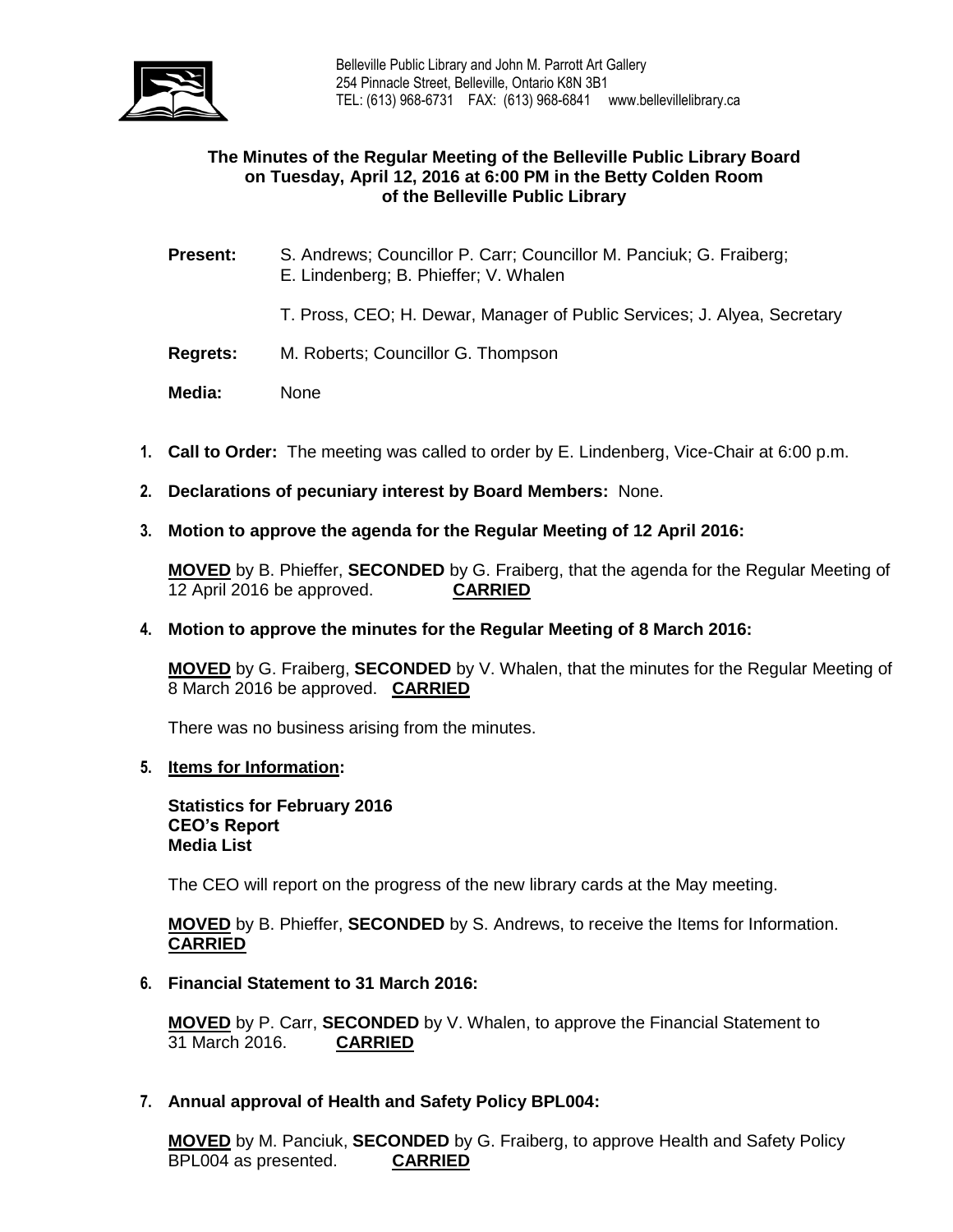

### **The Minutes of the Regular Meeting of the Belleville Public Library Board on Tuesday, April 12, 2016 at 6:00 PM in the Betty Colden Room of the Belleville Public Library**

- **Present:** S. Andrews; Councillor P. Carr; Councillor M. Panciuk; G. Fraiberg; E. Lindenberg; B. Phieffer; V. Whalen
	- T. Pross, CEO; H. Dewar, Manager of Public Services; J. Alyea, Secretary
- **Regrets:** M. Roberts; Councillor G. Thompson
- **Media:** None
- **1. Call to Order:** The meeting was called to order by E. Lindenberg, Vice-Chair at 6:00 p.m.
- **2. Declarations of pecuniary interest by Board Members:** None.
- **3. Motion to approve the agenda for the Regular Meeting of 12 April 2016:**

**MOVED** by B. Phieffer, **SECONDED** by G. Fraiberg, that the agenda for the Regular Meeting of 12 April 2016 be approved. **CARRIED**

**4. Motion to approve the minutes for the Regular Meeting of 8 March 2016:**

**MOVED** by G. Fraiberg, **SECONDED** by V. Whalen, that the minutes for the Regular Meeting of 8 March 2016 be approved. **CARRIED**

There was no business arising from the minutes.

#### **5. Items for Information:**

**Statistics for February 2016 CEO's Report Media List**

The CEO will report on the progress of the new library cards at the May meeting.

**MOVED** by B. Phieffer, **SECONDED** by S. Andrews, to receive the Items for Information. **CARRIED**

#### **6. Financial Statement to 31 March 2016:**

**MOVED** by P. Carr, **SECONDED** by V. Whalen, to approve the Financial Statement to 31 March 2016. **CARRIED**

**7. Annual approval of Health and Safety Policy BPL004:**

**MOVED** by M. Panciuk, **SECONDED** by G. Fraiberg, to approve Health and Safety Policy BPL004 as presented. **CARRIED**